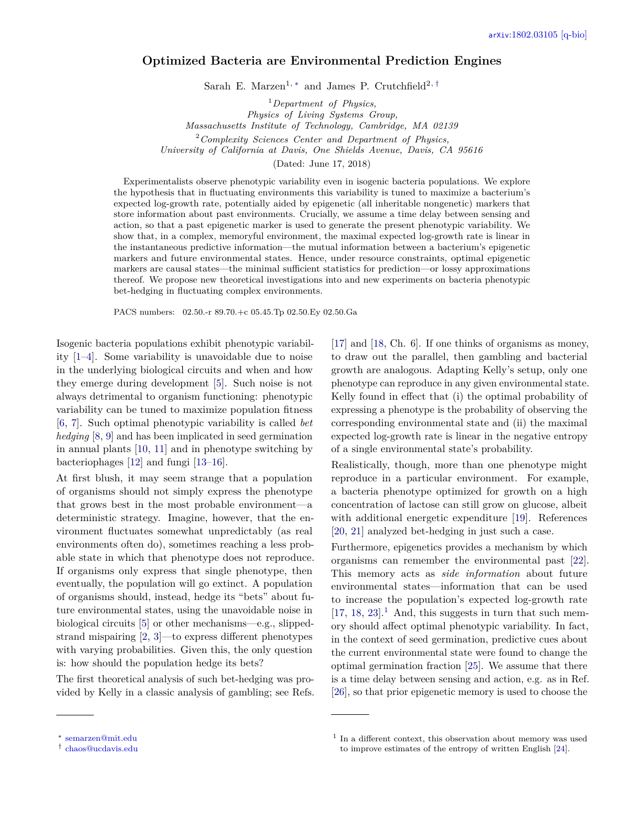# <span id="page-0-3"></span>**Optimized Bacteria are Environmental Prediction Engines**

Sarah E. Marzen<sup>1, [∗](#page-0-0)</sup> and James P. Crutchfield<sup>2, [†](#page-0-1)</sup>

<sup>1</sup>*Department of Physics,*

*Physics of Living Systems Group,*

*Massachusetts Institute of Technology, Cambridge, MA 02139*

<sup>2</sup>*Complexity Sciences Center and Department of Physics,*

*University of California at Davis, One Shields Avenue, Davis, CA 95616*

(Dated: June 17, 2018)

Experimentalists observe phenotypic variability even in isogenic bacteria populations. We explore the hypothesis that in fluctuating environments this variability is tuned to maximize a bacterium's expected log-growth rate, potentially aided by epigenetic (all inheritable nongenetic) markers that store information about past environments. Crucially, we assume a time delay between sensing and action, so that a past epigenetic marker is used to generate the present phenotypic variability. We show that, in a complex, memoryful environment, the maximal expected log-growth rate is linear in the instantaneous predictive information—the mutual information between a bacterium's epigenetic markers and future environmental states. Hence, under resource constraints, optimal epigenetic markers are causal states—the minimal sufficient statistics for prediction—or lossy approximations thereof. We propose new theoretical investigations into and new experiments on bacteria phenotypic bet-hedging in fluctuating complex environments.

PACS numbers: 02.50.-r 89.70.+c 05.45.Tp 02.50.Ey 02.50.Ga

Isogenic bacteria populations exhibit phenotypic variability [\[1–](#page-6-0)[4\]](#page-6-1). Some variability is unavoidable due to noise in the underlying biological circuits and when and how they emerge during development [\[5\]](#page-6-2). Such noise is not always detrimental to organism functioning: phenotypic variability can be tuned to maximize population fitness [\[6,](#page-6-3) [7\]](#page-6-4). Such optimal phenotypic variability is called *bet hedging* [\[8,](#page-6-5) [9\]](#page-7-0) and has been implicated in seed germination in annual plants [\[10,](#page-7-1) [11\]](#page-7-2) and in phenotype switching by bacteriophages [\[12\]](#page-7-3) and fungi [\[13–](#page-7-4)[16\]](#page-7-5).

At first blush, it may seem strange that a population of organisms should not simply express the phenotype that grows best in the most probable environment—a deterministic strategy. Imagine, however, that the environment fluctuates somewhat unpredictably (as real environments often do), sometimes reaching a less probable state in which that phenotype does not reproduce. If organisms only express that single phenotype, then eventually, the population will go extinct. A population of organisms should, instead, hedge its "bets" about future environmental states, using the unavoidable noise in biological circuits [\[5\]](#page-6-2) or other mechanisms—e.g., slippedstrand mispairing [\[2,](#page-6-6) [3\]](#page-6-7)—to express different phenotypes with varying probabilities. Given this, the only question is: how should the population hedge its bets?

The first theoretical analysis of such bet-hedging was provided by Kelly in a classic analysis of gambling; see Refs. Realistically, though, more than one phenotype might reproduce in a particular environment. For example, a bacteria phenotype optimized for growth on a high concentration of lactose can still grow on glucose, albeit with additional energetic expenditure [\[19\]](#page-7-8). References [\[20,](#page-7-9) [21\]](#page-7-10) analyzed bet-hedging in just such a case.

Furthermore, epigenetics provides a mechanism by which organisms can remember the environmental past [\[22\]](#page-7-11). This memory acts as *side information* about future environmental states—information that can be used to increase the population's expected log-growth rate  $[17, 18, 23]$  $[17, 18, 23]$  $[17, 18, 23]$  $[17, 18, 23]$  $[17, 18, 23]$ <sup>[1](#page-0-2)</sup>. And, this suggests in turn that such memory should affect optimal phenotypic variability. In fact, in the context of seed germination, predictive cues about the current environmental state were found to change the optimal germination fraction [\[25\]](#page-7-13). We assume that there is a time delay between sensing and action, e.g. as in Ref. [\[26\]](#page-7-14), so that prior epigenetic memory is used to choose the

[<sup>\[17\]</sup>](#page-7-6) and [\[18,](#page-7-7) Ch. 6]. If one thinks of organisms as money, to draw out the parallel, then gambling and bacterial growth are analogous. Adapting Kelly's setup, only one phenotype can reproduce in any given environmental state. Kelly found in effect that (i) the optimal probability of expressing a phenotype is the probability of observing the corresponding environmental state and (ii) the maximal expected log-growth rate is linear in the negative entropy of a single environmental state's probability.

<span id="page-0-0"></span><sup>∗</sup> [semarzen@mit.edu](mailto:semarzen@mit.edu)

<span id="page-0-1"></span><sup>†</sup> [chaos@ucdavis.edu](mailto:chaos@ucdavis.edu)

<span id="page-0-2"></span><sup>1</sup> In a different context, this observation about memory was used to improve estimates of the entropy of written English [\[24\]](#page-7-15).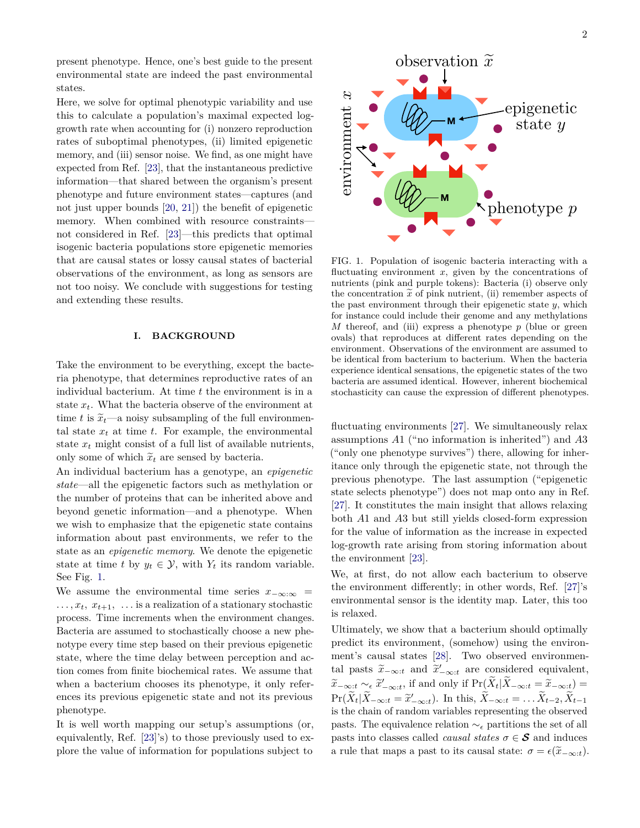<span id="page-1-1"></span>present phenotype. Hence, one's best guide to the present environmental state are indeed the past environmental states.

Here, we solve for optimal phenotypic variability and use this to calculate a population's maximal expected loggrowth rate when accounting for (i) nonzero reproduction rates of suboptimal phenotypes, (ii) limited epigenetic memory, and (iii) sensor noise. We find, as one might have expected from Ref. [\[23\]](#page-7-12), that the instantaneous predictive information—that shared between the organism's present phenotype and future environment states—captures (and not just upper bounds [\[20,](#page-7-9) [21\]](#page-7-10)) the benefit of epigenetic memory. When combined with resource constraints not considered in Ref. [\[23\]](#page-7-12)—this predicts that optimal isogenic bacteria populations store epigenetic memories that are causal states or lossy causal states of bacterial observations of the environment, as long as sensors are not too noisy. We conclude with suggestions for testing and extending these results.

#### **I. BACKGROUND**

Take the environment to be everything, except the bacteria phenotype, that determines reproductive rates of an individual bacterium. At time *t* the environment is in a state *xt*. What the bacteria observe of the environment at time *t* is  $\tilde{x}_t$ —a noisy subsampling of the full environmental state  $x_t$  at time  $t$ . For example, the environmental state  $x_t$  might consist of a full list of available nutrients, only some of which  $\tilde{x}_t$  are sensed by bacteria.

An individual bacterium has a genotype, an *epigenetic state*—all the epigenetic factors such as methylation or the number of proteins that can be inherited above and beyond genetic information—and a phenotype. When we wish to emphasize that the epigenetic state contains information about past environments, we refer to the state as an *epigenetic memory*. We denote the epigenetic state at time *t* by  $y_t \in \mathcal{Y}$ , with  $Y_t$  its random variable. See Fig. [1.](#page-1-0)

We assume the environmental time series  $x_{-\infty:\infty}$  =  $\dots, x_t, x_{t+1}, \dots$  is a realization of a stationary stochastic process. Time increments when the environment changes. Bacteria are assumed to stochastically choose a new phenotype every time step based on their previous epigenetic state, where the time delay between perception and action comes from finite biochemical rates. We assume that when a bacterium chooses its phenotype, it only references its previous epigenetic state and not its previous phenotype.

It is well worth mapping our setup's assumptions (or, equivalently, Ref. [\[23\]](#page-7-12)'s) to those previously used to explore the value of information for populations subject to



<span id="page-1-0"></span>FIG. 1. Population of isogenic bacteria interacting with a fluctuating environment *x*, given by the concentrations of nutrients (pink and purple tokens): Bacteria (i) observe only the concentration  $\bar{x}$  of pink nutrient, (ii) remember aspects of the past environment through their epigenetic state *y*, which for instance could include their genome and any methylations *M* thereof, and (iii) express a phenotype *p* (blue or green ovals) that reproduces at different rates depending on the environment. Observations of the environment are assumed to be identical from bacterium to bacterium. When the bacteria experience identical sensations, the epigenetic states of the two bacteria are assumed identical. However, inherent biochemical stochasticity can cause the expression of different phenotypes.

fluctuating environments [\[27\]](#page-7-16). We simultaneously relax assumptions *A*1 ("no information is inherited") and *A*3 ("only one phenotype survives") there, allowing for inheritance only through the epigenetic state, not through the previous phenotype. The last assumption ("epigenetic state selects phenotype") does not map onto any in Ref. [\[27\]](#page-7-16). It constitutes the main insight that allows relaxing both *A*1 and *A*3 but still yields closed-form expression for the value of information as the increase in expected log-growth rate arising from storing information about the environment [\[23\]](#page-7-12).

We, at first, do not allow each bacterium to observe the environment differently; in other words, Ref. [\[27\]](#page-7-16)'s environmental sensor is the identity map. Later, this too is relaxed.

Ultimately, we show that a bacterium should optimally predict its environment, (somehow) using the environment's causal states [\[28\]](#page-7-17). Two observed environmental pasts  $\tilde{x}_{-\infty:t}$  and  $\tilde{x}'_{-\infty:t}$  are considered equivalent,  $\widetilde{x}_{-\infty:t} \sim_{\epsilon} \widetilde{x}'_{-\infty:t}$ , if and only if  $\Pr(\widetilde{X}_t | \widetilde{X}_{-\infty:t} = \widetilde{x}_{-\infty:t}) =$ <br>  $\Pr(\widetilde{X}_t | \widetilde{X}_{-\infty:t} = \widetilde{x}_{-\infty:t})$  $\Pr(\tilde{X}_t|\tilde{X}_{-\infty:t} = \tilde{x}'_{-\infty:t})$ . In this,  $\tilde{X}_{-\infty:t} = \ldots \tilde{X}_{t-2}, \tilde{X}_{t-1}$ is the chain of random variables representing the observed pasts. The equivalence relation  $\sim_{\epsilon}$  partitions the set of all pasts into classes called *causal states*  $\sigma \in \mathcal{S}$  and induces a rule that maps a past to its causal state:  $\sigma = \epsilon(\widetilde{x}_{-\infty:t})$ .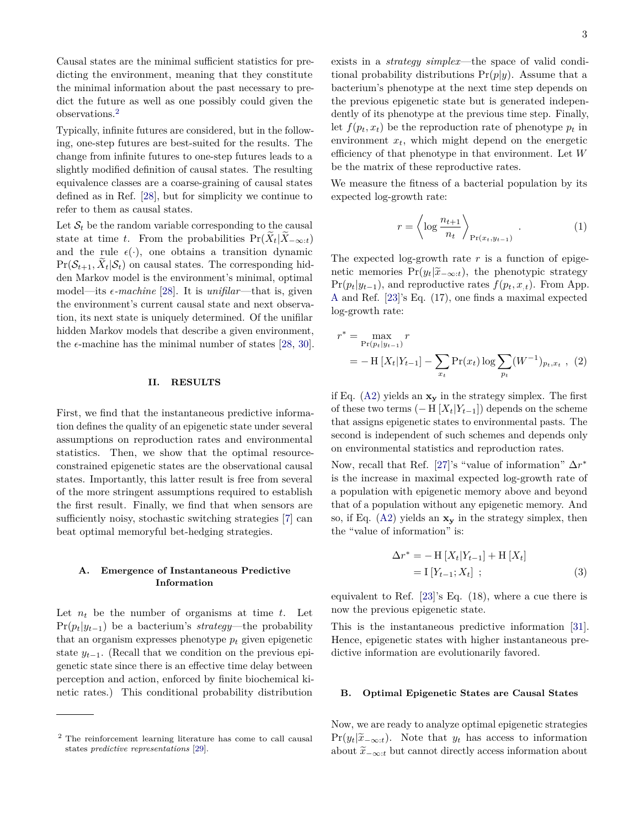<span id="page-2-1"></span>Causal states are the minimal sufficient statistics for predicting the environment, meaning that they constitute the minimal information about the past necessary to predict the future as well as one possibly could given the observations.[2](#page-2-0)

Typically, infinite futures are considered, but in the following, one-step futures are best-suited for the results. The change from infinite futures to one-step futures leads to a slightly modified definition of causal states. The resulting equivalence classes are a coarse-graining of causal states defined as in Ref. [\[28\]](#page-7-17), but for simplicity we continue to refer to them as causal states.

Let  $S_t$  be the random variable corresponding to the causal state at time *t*. From the probabilities  $Pr(X_t|X_{-\infty:t})$ and the rule  $\epsilon(\cdot)$ , one obtains a transition dynamic  $Pr(S_{t+1}, X_t | S_t)$  on causal states. The corresponding hidden Markov model is the environment's minimal, optimal model—its  $\epsilon$ -machine [\[28\]](#page-7-17). It is *unifilar*—that is, given the environment's current causal state and next observation, its next state is uniquely determined. Of the unifilar hidden Markov models that describe a given environment, the  $\epsilon$ -machine has the minimal number of states [\[28,](#page-7-17) [30\]](#page-7-18).

### **II. RESULTS**

First, we find that the instantaneous predictive information defines the quality of an epigenetic state under several assumptions on reproduction rates and environmental statistics. Then, we show that the optimal resourceconstrained epigenetic states are the observational causal states. Importantly, this latter result is free from several of the more stringent assumptions required to establish the first result. Finally, we find that when sensors are sufficiently noisy, stochastic switching strategies [\[7\]](#page-6-4) can beat optimal memoryful bet-hedging strategies.

### **A. Emergence of Instantaneous Predictive Information**

Let  $n_t$  be the number of organisms at time  $t$ . Let  $Pr(p_t|y_{t-1})$  be a bacterium's *strategy*—the probability that an organism expresses phenotype  $p_t$  given epigenetic state  $y_{t-1}$ . (Recall that we condition on the previous epigenetic state since there is an effective time delay between perception and action, enforced by finite biochemical kinetic rates.) This conditional probability distribution

exists in a *strategy simplex*—the space of valid conditional probability distributions Pr(*p*|*y*). Assume that a bacterium's phenotype at the next time step depends on the previous epigenetic state but is generated independently of its phenotype at the previous time step. Finally, let  $f(p_t, x_t)$  be the reproduction rate of phenotype  $p_t$  in environment  $x_t$ , which might depend on the energetic efficiency of that phenotype in that environment. Let *W* be the matrix of these reproductive rates.

We measure the fitness of a bacterial population by its expected log-growth rate:

$$
r = \left\langle \log \frac{n_{t+1}}{n_t} \right\rangle_{\Pr(x_t, y_{t-1})} . \tag{1}
$$

The expected log-growth rate *r* is a function of epigenetic memories  $Pr(y_t|\widetilde{x}_{-\infty:t})$ , the phenotypic strategy  $Pr(p_t|y_{t-1})$ , and reproductive rates  $f(p_t, x_{t})$ . From App. [A](#page-9-0) and Ref. [\[23\]](#page-7-12)'s Eq. (17), one finds a maximal expected log-growth rate:

$$
r^* = \max_{\Pr(p_t|y_{t-1})} r
$$
  
=  $- \mathcal{H}[X_t|Y_{t-1}] - \sum_{x_t} \Pr(x_t) \log \sum_{p_t} (W^{-1})_{p_t, x_t}$ , (2)

if Eq. [\(A2\)](#page-10-0) yields an **x<sup>y</sup>** in the strategy simplex. The first of these two terms  $(-H[X_t|Y_{t-1}])$  depends on the scheme that assigns epigenetic states to environmental pasts. The second is independent of such schemes and depends only on environmental statistics and reproduction rates.

Now, recall that Ref. [\[27\]](#page-7-16)'s "value of information"  $\Delta r^*$ is the increase in maximal expected log-growth rate of a population with epigenetic memory above and beyond that of a population without any epigenetic memory. And so, if Eq. [\(A2\)](#page-10-0) yields an **x<sup>y</sup>** in the strategy simplex, then the "value of information" is:

$$
\Delta r^* = - \mathcal{H} \left[ X_t | Y_{t-1} \right] + \mathcal{H} \left[ X_t \right] = \mathcal{I} \left[ Y_{t-1}; X_t \right] ;
$$
 (3)

equivalent to Ref. [\[23\]](#page-7-12)'s Eq. (18), where a cue there is now the previous epigenetic state.

This is the instantaneous predictive information [\[31\]](#page-7-20). Hence, epigenetic states with higher instantaneous predictive information are evolutionarily favored.

#### **B. Optimal Epigenetic States are Causal States**

Now, we are ready to analyze optimal epigenetic strategies  $Pr(y_t|\tilde{x}_{-\infty:t})$ . Note that  $y_t$  has access to information about  $\tilde{x}_{-\infty:t}$  but cannot directly access information about

<span id="page-2-0"></span><sup>2</sup> The reinforcement learning literature has come to call causal states *predictive representations* [\[29\]](#page-7-19).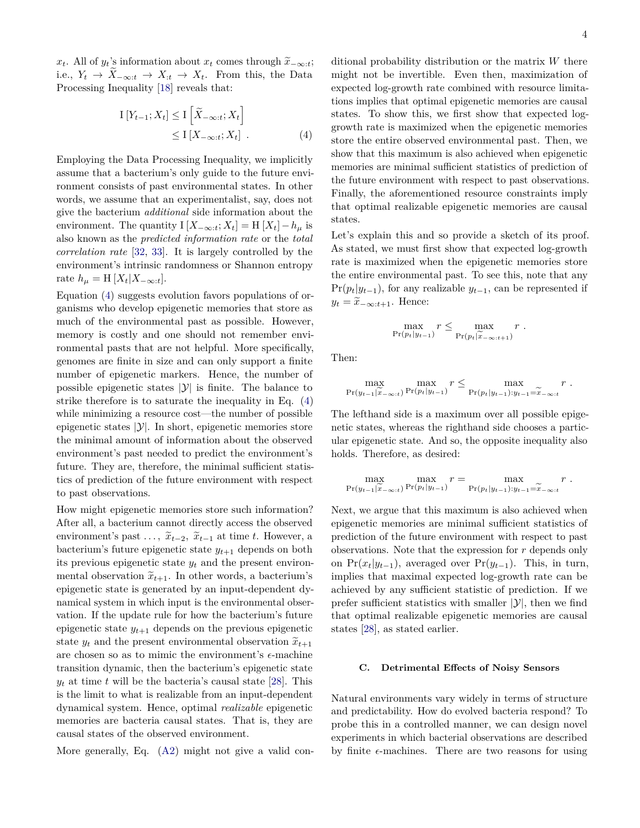<span id="page-3-1"></span>*x*<sup>*t*</sup>. All of *y*<sup>*t*</sup>'s information about *x*<sup>*t*</sup> comes through  $\widetilde{x}_{-\infty:t}$ ; i.e.,  $Y_t$  →  $X_{-\infty:t}$  →  $X_{:t}$  →  $X_t$ . From this, the Data Processing Inequality [\[18\]](#page-7-7) reveals that:

$$
I[Y_{t-1}; X_t] \le I\left[\widetilde{X}_{-\infty:t}; X_t\right] \\
\le I[X_{-\infty:t}; X_t] \quad .
$$
\n(4)

Employing the Data Processing Inequality, we implicitly assume that a bacterium's only guide to the future environment consists of past environmental states. In other words, we assume that an experimentalist, say, does not give the bacterium *additional* side information about the environment. The quantity  $I[X_{-\infty:t}; X_t] = H[X_t] - h_\mu$  is also known as the *predicted information rate* or the *total correlation rate* [\[32,](#page-7-21) [33\]](#page-7-22). It is largely controlled by the environment's intrinsic randomness or Shannon entropy rate  $h_{\mu} = H[X_t | X_{-\infty:t}].$ 

Equation [\(4\)](#page-3-0) suggests evolution favors populations of organisms who develop epigenetic memories that store as much of the environmental past as possible. However, memory is costly and one should not remember environmental pasts that are not helpful. More specifically, genomes are finite in size and can only support a finite number of epigenetic markers. Hence, the number of possible epigenetic states  $|\mathcal{Y}|$  is finite. The balance to strike therefore is to saturate the inequality in Eq. [\(4\)](#page-3-0) while minimizing a resource cost—the number of possible epigenetic states  $|\mathcal{Y}|$ . In short, epigenetic memories store the minimal amount of information about the observed environment's past needed to predict the environment's future. They are, therefore, the minimal sufficient statistics of prediction of the future environment with respect to past observations.

How might epigenetic memories store such information? After all, a bacterium cannot directly access the observed environment's past  $\dots$ ,  $\tilde{x}_{t-2}$ ,  $\tilde{x}_{t-1}$  at time *t*. However, a bacterium's future epigenetic state  $y_{t+1}$  depends on both its previous epigenetic state  $y_t$  and the present environmental observation  $\tilde{x}_{t+1}$ . In other words, a bacterium's epigenetic state is generated by an input-dependent dynamical system in which input is the environmental observation. If the update rule for how the bacterium's future epigenetic state  $y_{t+1}$  depends on the previous epigenetic state  $y_t$  and the present environmental observation  $\widetilde{x}_{t+1}$ are chosen so as to mimic the environment's  $\epsilon$ -machine transition dynamic, then the bacterium's epigenetic state  $y_t$  at time *t* will be the bacteria's causal state [\[28\]](#page-7-17). This is the limit to what is realizable from an input-dependent dynamical system. Hence, optimal *realizable* epigenetic memories are bacteria causal states. That is, they are causal states of the observed environment.

More generally, Eq. [\(A2\)](#page-10-0) might not give a valid con-

<span id="page-3-0"></span>ditional probability distribution or the matrix *W* there might not be invertible. Even then, maximization of expected log-growth rate combined with resource limitations implies that optimal epigenetic memories are causal states. To show this, we first show that expected loggrowth rate is maximized when the epigenetic memories store the entire observed environmental past. Then, we show that this maximum is also achieved when epigenetic memories are minimal sufficient statistics of prediction of the future environment with respect to past observations. Finally, the aforementioned resource constraints imply that optimal realizable epigenetic memories are causal states.

Let's explain this and so provide a sketch of its proof. As stated, we must first show that expected log-growth rate is maximized when the epigenetic memories store the entire environmental past. To see this, note that any  $Pr(p_t|y_{t-1})$ , for any realizable  $y_{t-1}$ , can be represented if  $y_t = \tilde{x}_{-\infty:t+1}$ . Hence:

$$
\max_{\Pr(p_t|y_{t-1})} r \leq \max_{\Pr(p_t|\widetilde{x}_{-\infty:t+1})} r.
$$

Then:

$$
\max_{\Pr(y_{t-1}|\widetilde{x}_{-\infty:t})} \max_{\Pr(p_t|y_{t-1})} r \leq \max_{\Pr(p_t|y_{t-1}):y_{t-1}=\widetilde{x}_{-\infty:t}} r.
$$

The lefthand side is a maximum over all possible epigenetic states, whereas the righthand side chooses a particular epigenetic state. And so, the opposite inequality also holds. Therefore, as desired:

$$
\max_{\Pr(y_{t-1}|\widetilde{x}_{-\infty:t})} \max_{\Pr(p_t|y_{t-1})} r = \max_{\Pr(p_t|y_{t-1}): y_{t-1}=\widetilde{x}_{-\infty:t}} r.
$$

Next, we argue that this maximum is also achieved when epigenetic memories are minimal sufficient statistics of prediction of the future environment with respect to past observations. Note that the expression for *r* depends only on  $Pr(x_t|y_{t-1})$ , averaged over  $Pr(y_{t-1})$ . This, in turn, implies that maximal expected log-growth rate can be achieved by any sufficient statistic of prediction. If we prefer sufficient statistics with smaller  $|\mathcal{Y}|$ , then we find that optimal realizable epigenetic memories are causal states [\[28\]](#page-7-17), as stated earlier.

# **C. Detrimental Effects of Noisy Sensors**

Natural environments vary widely in terms of structure and predictability. How do evolved bacteria respond? To probe this in a controlled manner, we can design novel experiments in which bacterial observations are described by finite  $\epsilon$ -machines. There are two reasons for using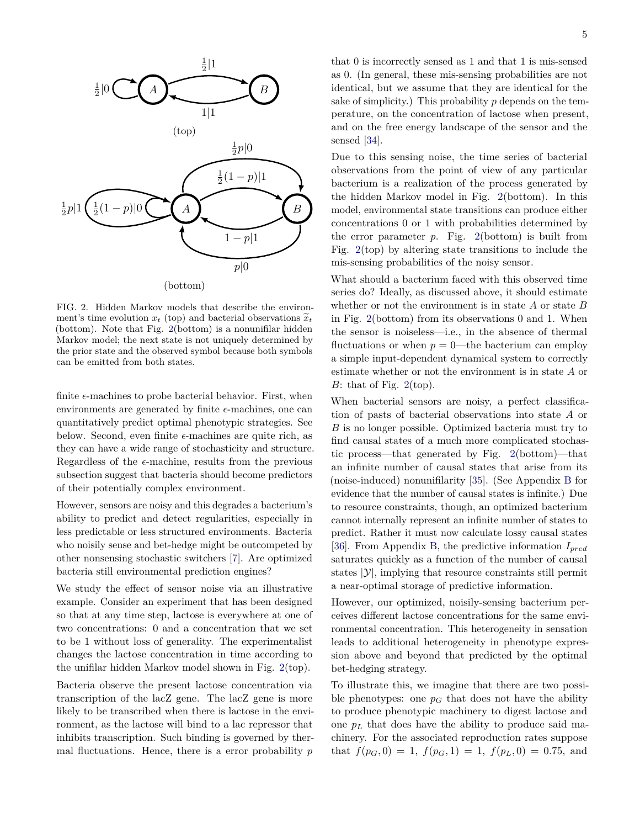<span id="page-4-1"></span>

<span id="page-4-0"></span>FIG. 2. Hidden Markov models that describe the environment's time evolution  $x_t$  (top) and bacterial observations  $\widetilde{x}_t$ (bottom). Note that Fig. [2\(](#page-4-0)bottom) is a nonunifilar hidden Markov model; the next state is not uniquely determined by the prior state and the observed symbol because both symbols can be emitted from both states.

finite  $\epsilon$ -machines to probe bacterial behavior. First, when environments are generated by finite  $\epsilon$ -machines, one can quantitatively predict optimal phenotypic strategies. See below. Second, even finite  $\epsilon$ -machines are quite rich, as they can have a wide range of stochasticity and structure. Regardless of the  $\epsilon$ -machine, results from the previous subsection suggest that bacteria should become predictors of their potentially complex environment.

However, sensors are noisy and this degrades a bacterium's ability to predict and detect regularities, especially in less predictable or less structured environments. Bacteria who noisily sense and bet-hedge might be outcompeted by other nonsensing stochastic switchers [\[7\]](#page-6-4). Are optimized bacteria still environmental prediction engines?

We study the effect of sensor noise via an illustrative example. Consider an experiment that has been designed so that at any time step, lactose is everywhere at one of two concentrations: 0 and a concentration that we set to be 1 without loss of generality. The experimentalist changes the lactose concentration in time according to the unifilar hidden Markov model shown in Fig. [2\(](#page-4-0)top).

Bacteria observe the present lactose concentration via transcription of the lacZ gene. The lacZ gene is more likely to be transcribed when there is lactose in the environment, as the lactose will bind to a lac repressor that inhibits transcription. Such binding is governed by thermal fluctuations. Hence, there is a error probability *p*

that 0 is incorrectly sensed as 1 and that 1 is mis-sensed as 0. (In general, these mis-sensing probabilities are not identical, but we assume that they are identical for the sake of simplicity.) This probability *p* depends on the temperature, on the concentration of lactose when present, and on the free energy landscape of the sensor and the sensed [\[34\]](#page-7-23).

Due to this sensing noise, the time series of bacterial observations from the point of view of any particular bacterium is a realization of the process generated by the hidden Markov model in Fig. [2\(](#page-4-0)bottom). In this model, environmental state transitions can produce either concentrations 0 or 1 with probabilities determined by the error parameter *p*. Fig. [2\(](#page-4-0)bottom) is built from Fig. [2\(](#page-4-0)top) by altering state transitions to include the mis-sensing probabilities of the noisy sensor.

What should a bacterium faced with this observed time series do? Ideally, as discussed above, it should estimate whether or not the environment is in state *A* or state *B* in Fig. [2\(](#page-4-0)bottom) from its observations 0 and 1. When the sensor is noiseless—i.e., in the absence of thermal fluctuations or when  $p = 0$ —the bacterium can employ a simple input-dependent dynamical system to correctly estimate whether or not the environment is in state *A* or *B*: that of Fig.  $2(\text{top})$  $2(\text{top})$ .

When bacterial sensors are noisy, a perfect classification of pasts of bacterial observations into state *A* or *B* is no longer possible. Optimized bacteria must try to find causal states of a much more complicated stochastic process—that generated by Fig. [2\(](#page-4-0)bottom)—that an infinite number of causal states that arise from its (noise-induced) nonunifilarity [\[35\]](#page-7-24). (See Appendix [B](#page-10-1) for evidence that the number of causal states is infinite.) Due to resource constraints, though, an optimized bacterium cannot internally represent an infinite number of states to predict. Rather it must now calculate lossy causal states [\[36\]](#page-7-25). From Appendix [B,](#page-10-1) the predictive information *Ipred* saturates quickly as a function of the number of causal states  $|y|$ , implying that resource constraints still permit a near-optimal storage of predictive information.

However, our optimized, noisily-sensing bacterium perceives different lactose concentrations for the same environmental concentration. This heterogeneity in sensation leads to additional heterogeneity in phenotype expression above and beyond that predicted by the optimal bet-hedging strategy.

To illustrate this, we imagine that there are two possible phenotypes: one  $p_G$  that does not have the ability to produce phenotypic machinery to digest lactose and one  $p<sub>L</sub>$  that does have the ability to produce said machinery. For the associated reproduction rates suppose that  $f(p_G, 0) = 1$ ,  $f(p_G, 1) = 1$ ,  $f(p_L, 0) = 0.75$ , and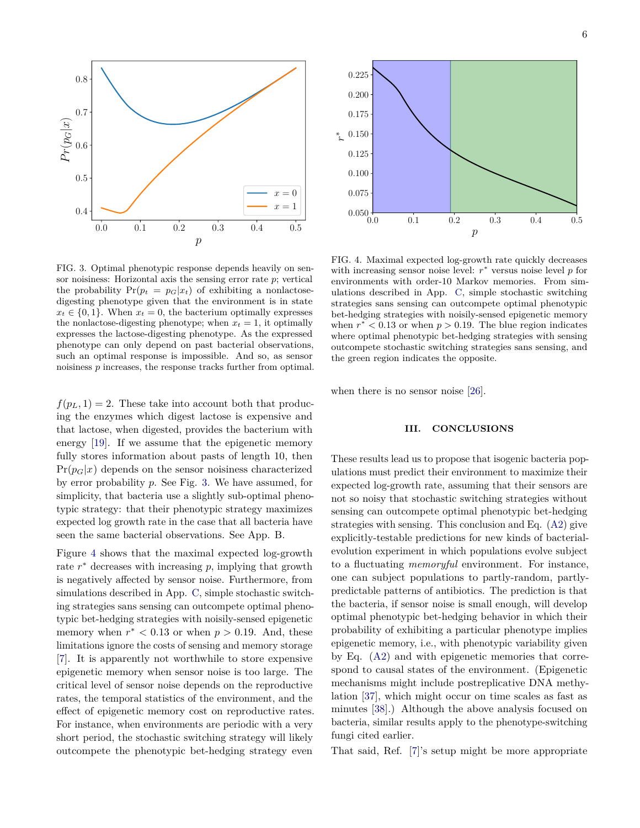<span id="page-5-2"></span>

<span id="page-5-0"></span>FIG. 3. Optimal phenotypic response depends heavily on sensor noisiness: Horizontal axis the sensing error rate *p*; vertical the probability  $Pr(p_t = p_G | x_t)$  of exhibiting a nonlactosedigesting phenotype given that the environment is in state  $x_t \in \{0, 1\}$ . When  $x_t = 0$ , the bacterium optimally expresses the nonlactose-digesting phenotype; when  $x_t = 1$ , it optimally expresses the lactose-digesting phenotype. As the expressed phenotype can only depend on past bacterial observations, such an optimal response is impossible. And so, as sensor noisiness *p* increases, the response tracks further from optimal.

 $f(p_L, 1) = 2$ . These take into account both that producing the enzymes which digest lactose is expensive and that lactose, when digested, provides the bacterium with energy [\[19\]](#page-7-8). If we assume that the epigenetic memory fully stores information about pasts of length 10, then  $Pr(p_G|x)$  depends on the sensor noisiness characterized by error probability *p*. See Fig. [3.](#page-5-0) We have assumed, for simplicity, that bacteria use a slightly sub-optimal phenotypic strategy: that their phenotypic strategy maximizes expected log growth rate in the case that all bacteria have seen the same bacterial observations. See App. B.

Figure [4](#page-5-1) shows that the maximal expected log-growth rate  $r^*$  decreases with increasing  $p$ , implying that growth is negatively affected by sensor noise. Furthermore, from simulations described in App. [C,](#page-13-0) simple stochastic switching strategies sans sensing can outcompete optimal phenotypic bet-hedging strategies with noisily-sensed epigenetic memory when  $r^* < 0.13$  or when  $p > 0.19$ . And, these limitations ignore the costs of sensing and memory storage [\[7\]](#page-6-4). It is apparently not worthwhile to store expensive epigenetic memory when sensor noise is too large. The critical level of sensor noise depends on the reproductive rates, the temporal statistics of the environment, and the effect of epigenetic memory cost on reproductive rates. For instance, when environments are periodic with a very short period, the stochastic switching strategy will likely outcompete the phenotypic bet-hedging strategy even



<span id="page-5-1"></span>FIG. 4. Maximal expected log-growth rate quickly decreases with increasing sensor noise level:  $r^*$  versus noise level  $p$  for environments with order-10 Markov memories. From simulations described in App. [C,](#page-13-0) simple stochastic switching strategies sans sensing can outcompete optimal phenotypic bet-hedging strategies with noisily-sensed epigenetic memory when  $r^*$  < 0.13 or when  $p > 0.19$ . The blue region indicates where optimal phenotypic bet-hedging strategies with sensing outcompete stochastic switching strategies sans sensing, and the green region indicates the opposite.

when there is no sensor noise [\[26\]](#page-7-14).

## **III. CONCLUSIONS**

These results lead us to propose that isogenic bacteria populations must predict their environment to maximize their expected log-growth rate, assuming that their sensors are not so noisy that stochastic switching strategies without sensing can outcompete optimal phenotypic bet-hedging strategies with sensing. This conclusion and Eq. [\(A2\)](#page-10-0) give explicitly-testable predictions for new kinds of bacterialevolution experiment in which populations evolve subject to a fluctuating *memoryful* environment. For instance, one can subject populations to partly-random, partlypredictable patterns of antibiotics. The prediction is that the bacteria, if sensor noise is small enough, will develop optimal phenotypic bet-hedging behavior in which their probability of exhibiting a particular phenotype implies epigenetic memory, i.e., with phenotypic variability given by Eq. [\(A2\)](#page-10-0) and with epigenetic memories that correspond to causal states of the environment. (Epigenetic mechanisms might include postreplicative DNA methylation [\[37\]](#page-7-26), which might occur on time scales as fast as minutes [\[38\]](#page-7-27).) Although the above analysis focused on bacteria, similar results apply to the phenotype-switching fungi cited earlier.

That said, Ref. [\[7\]](#page-6-4)'s setup might be more appropriate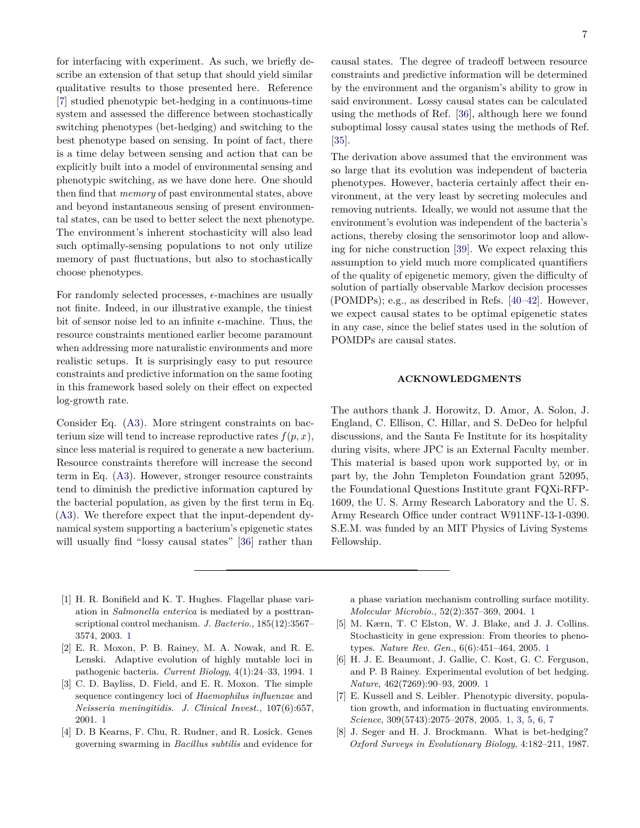<span id="page-6-8"></span>for interfacing with experiment. As such, we briefly describe an extension of that setup that should yield similar qualitative results to those presented here. Reference [\[7\]](#page-6-4) studied phenotypic bet-hedging in a continuous-time system and assessed the difference between stochastically switching phenotypes (bet-hedging) and switching to the best phenotype based on sensing. In point of fact, there is a time delay between sensing and action that can be explicitly built into a model of environmental sensing and phenotypic switching, as we have done here. One should then find that *memory* of past environmental states, above and beyond instantaneous sensing of present environmental states, can be used to better select the next phenotype. The environment's inherent stochasticity will also lead such optimally-sensing populations to not only utilize memory of past fluctuations, but also to stochastically choose phenotypes.

For randomly selected processes,  $\epsilon$ -machines are usually not finite. Indeed, in our illustrative example, the tiniest bit of sensor noise led to an infinite  $\epsilon$ -machine. Thus, the resource constraints mentioned earlier become paramount when addressing more naturalistic environments and more realistic setups. It is surprisingly easy to put resource constraints and predictive information on the same footing in this framework based solely on their effect on expected log-growth rate.

Consider Eq. [\(A3\)](#page-10-2). More stringent constraints on bacterium size will tend to increase reproductive rates  $f(p, x)$ , since less material is required to generate a new bacterium. Resource constraints therefore will increase the second term in Eq. [\(A3\)](#page-10-2). However, stronger resource constraints tend to diminish the predictive information captured by the bacterial population, as given by the first term in Eq. [\(A3\)](#page-10-2). We therefore expect that the input-dependent dynamical system supporting a bacterium's epigenetic states will usually find "lossy causal states" [\[36\]](#page-7-25) rather than

causal states. The degree of tradeoff between resource constraints and predictive information will be determined by the environment and the organism's ability to grow in said environment. Lossy causal states can be calculated using the methods of Ref. [\[36\]](#page-7-25), although here we found suboptimal lossy causal states using the methods of Ref. [\[35\]](#page-7-24).

The derivation above assumed that the environment was so large that its evolution was independent of bacteria phenotypes. However, bacteria certainly affect their environment, at the very least by secreting molecules and removing nutrients. Ideally, we would not assume that the environment's evolution was independent of the bacteria's actions, thereby closing the sensorimotor loop and allowing for niche construction [\[39\]](#page-7-28). We expect relaxing this assumption to yield much more complicated quantifiers of the quality of epigenetic memory, given the difficulty of solution of partially observable Markov decision processes (POMDPs); e.g., as described in Refs. [\[40](#page-7-29)[–42\]](#page-7-30). However, we expect causal states to be optimal epigenetic states in any case, since the belief states used in the solution of POMDPs are causal states.

# **ACKNOWLEDGMENTS**

The authors thank J. Horowitz, D. Amor, A. Solon, J. England, C. Ellison, C. Hillar, and S. DeDeo for helpful discussions, and the Santa Fe Institute for its hospitality during visits, where JPC is an External Faculty member. This material is based upon work supported by, or in part by, the John Templeton Foundation grant 52095, the Foundational Questions Institute grant FQXi-RFP-1609, the U. S. Army Research Laboratory and the U. S. Army Research Office under contract W911NF-13-1-0390. S.E.M. was funded by an MIT Physics of Living Systems Fellowship.

- <span id="page-6-0"></span>[1] H. R. Bonifield and K. T. Hughes. Flagellar phase variation in *Salmonella enterica* is mediated by a posttranscriptional control mechanism. *J. Bacterio.*, 185(12):3567– 3574, 2003. [1](#page-0-3)
- <span id="page-6-6"></span>[2] E. R. Moxon, P. B. Rainey, M. A. Nowak, and R. E. Lenski. Adaptive evolution of highly mutable loci in pathogenic bacteria. *Current Biology*, 4(1):24–33, 1994. [1](#page-0-3)
- <span id="page-6-7"></span>[3] C. D. Bayliss, D. Field, and E. R. Moxon. The simple sequence contingency loci of *Haemophilus influenzae* and *Neisseria meningitidis*. *J. Clinical Invest.*, 107(6):657, 2001. [1](#page-0-3)
- <span id="page-6-1"></span>[4] D. B Kearns, F. Chu, R. Rudner, and R. Losick. Genes governing swarming in *Bacillus subtilis* and evidence for

a phase variation mechanism controlling surface motility. *Molecular Microbio.*, 52(2):357–369, 2004. [1](#page-0-3)

- <span id="page-6-2"></span>[5] M. Kærn, T. C Elston, W. J. Blake, and J. J. Collins. Stochasticity in gene expression: From theories to phenotypes. *Nature Rev. Gen.*, 6(6):451–464, 2005. [1](#page-0-3)
- <span id="page-6-3"></span>[6] H. J. E. Beaumont, J. Gallie, C. Kost, G. C. Ferguson, and P. B Rainey. Experimental evolution of bet hedging. *Nature*, 462(7269):90–93, 2009. [1](#page-0-3)
- <span id="page-6-4"></span>[7] E. Kussell and S. Leibler. Phenotypic diversity, population growth, and information in fluctuating environments. *Science*, 309(5743):2075–2078, 2005. [1,](#page-0-3) [3,](#page-2-1) [5,](#page-4-1) [6,](#page-5-2) [7](#page-6-8)
- <span id="page-6-5"></span>[8] J. Seger and H. J. Brockmann. What is bet-hedging? *Oxford Surveys in Evolutionary Biology*, 4:182–211, 1987.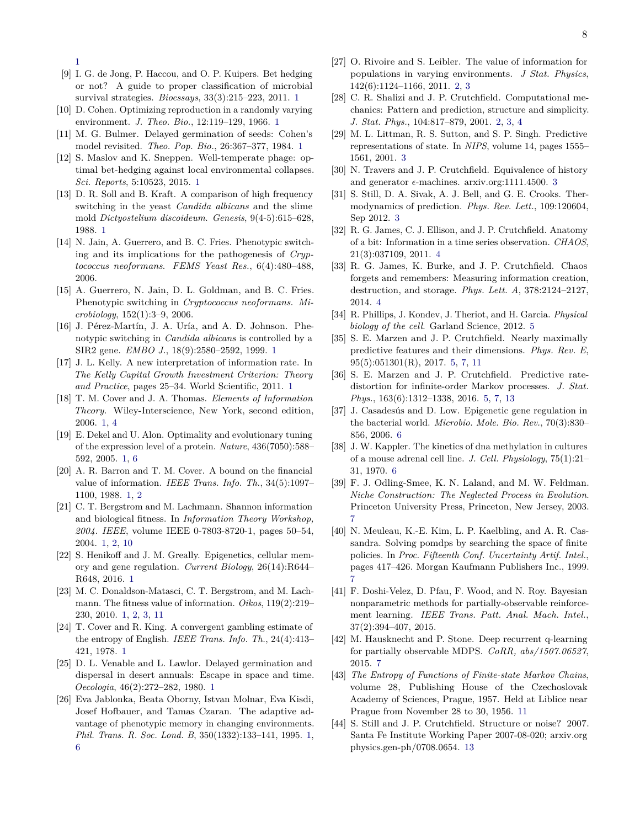[1](#page-0-3)

- <span id="page-7-0"></span>[9] I. G. de Jong, P. Haccou, and O. P. Kuipers. Bet hedging or not? A guide to proper classification of microbial survival strategies. *Bioessays*, 33(3):215–223, 2011. [1](#page-0-3)
- <span id="page-7-1"></span>[10] D. Cohen. Optimizing reproduction in a randomly varying environment. *J. Theo. Bio.*, 12:119–129, 1966. [1](#page-0-3)
- <span id="page-7-2"></span>[11] M. G. Bulmer. Delayed germination of seeds: Cohen's model revisited. *Theo. Pop. Bio.*, 26:367–377, 1984. [1](#page-0-3)
- <span id="page-7-3"></span>[12] S. Maslov and K. Sneppen. Well-temperate phage: optimal bet-hedging against local environmental collapses. *Sci. Reports*, 5:10523, 2015. [1](#page-0-3)
- <span id="page-7-4"></span>[13] D. R. Soll and B. Kraft. A comparison of high frequency switching in the yeast *Candida albicans* and the slime mold *Dictyostelium discoideum*. *Genesis*, 9(4-5):615–628, 1988. [1](#page-0-3)
- [14] N. Jain, A. Guerrero, and B. C. Fries. Phenotypic switching and its implications for the pathogenesis of *Cryptococcus neoformans*. *FEMS Yeast Res.*, 6(4):480–488, 2006.
- [15] A. Guerrero, N. Jain, D. L. Goldman, and B. C. Fries. Phenotypic switching in *Cryptococcus neoformans*. *Microbiology*, 152(1):3–9, 2006.
- <span id="page-7-5"></span>[16] J. Pérez-Martín, J. A. Uría, and A. D. Johnson. Phenotypic switching in *Candida albicans* is controlled by a SIR2 gene. *EMBO J.*, 18(9):2580–2592, 1999. [1](#page-0-3)
- <span id="page-7-6"></span>[17] J. L. Kelly. A new interpretation of information rate. In *The Kelly Capital Growth Investment Criterion: Theory and Practice*, pages 25–34. World Scientific, 2011. [1](#page-0-3)
- <span id="page-7-7"></span>[18] T. M. Cover and J. A. Thomas. *Elements of Information Theory*. Wiley-Interscience, New York, second edition, 2006. [1,](#page-0-3) [4](#page-3-1)
- <span id="page-7-8"></span>[19] E. Dekel and U. Alon. Optimality and evolutionary tuning of the expression level of a protein. *Nature*, 436(7050):588– 592, 2005. [1,](#page-0-3) [6](#page-5-2)
- <span id="page-7-9"></span>[20] A. R. Barron and T. M. Cover. A bound on the financial value of information. *IEEE Trans. Info. Th.*, 34(5):1097– 1100, 1988. [1,](#page-0-3) [2](#page-1-1)
- <span id="page-7-10"></span>[21] C. T. Bergstrom and M. Lachmann. Shannon information and biological fitness. In *Information Theory Workshop, 2004. IEEE*, volume IEEE 0-7803-8720-1, pages 50–54, 2004. [1,](#page-0-3) [2,](#page-1-1) [10](#page-9-1)
- <span id="page-7-11"></span>[22] S. Henikoff and J. M. Greally. Epigenetics, cellular memory and gene regulation. *Current Biology*, 26(14):R644– R648, 2016. [1](#page-0-3)
- <span id="page-7-12"></span>[23] M. C. Donaldson-Matasci, C. T. Bergstrom, and M. Lachmann. The fitness value of information. *Oikos*, 119(2):219– 230, 2010. [1,](#page-0-3) [2,](#page-1-1) [3,](#page-2-1) [11](#page-10-3)
- <span id="page-7-15"></span>[24] T. Cover and R. King. A convergent gambling estimate of the entropy of English. *IEEE Trans. Info. Th.*, 24(4):413– 421, 1978. [1](#page-0-3)
- <span id="page-7-13"></span>[25] D. L. Venable and L. Lawlor. Delayed germination and dispersal in desert annuals: Escape in space and time. *Oecologia*, 46(2):272–282, 1980. [1](#page-0-3)
- <span id="page-7-14"></span>[26] Eva Jablonka, Beata Oborny, Istvan Molnar, Eva Kisdi, Josef Hofbauer, and Tamas Czaran. The adaptive advantage of phenotypic memory in changing environments. *Phil. Trans. R. Soc. Lond. B*, 350(1332):133–141, 1995. [1,](#page-0-3) [6](#page-5-2)
- <span id="page-7-16"></span>[27] O. Rivoire and S. Leibler. The value of information for populations in varying environments. *J Stat. Physics*, 142(6):1124–1166, 2011. [2,](#page-1-1) [3](#page-2-1)
- <span id="page-7-17"></span>[28] C. R. Shalizi and J. P. Crutchfield. Computational mechanics: Pattern and prediction, structure and simplicity. *J. Stat. Phys.*, 104:817–879, 2001. [2,](#page-1-1) [3,](#page-2-1) [4](#page-3-1)
- <span id="page-7-19"></span>[29] M. L. Littman, R. S. Sutton, and S. P. Singh. Predictive representations of state. In *NIPS*, volume 14, pages 1555– 1561, 2001. [3](#page-2-1)
- <span id="page-7-18"></span>[30] N. Travers and J. P. Crutchfield. Equivalence of history and generator  $\epsilon$ -machines. arxiv.org:1111.4500. [3](#page-2-1)
- <span id="page-7-20"></span>[31] S. Still, D. A. Sivak, A. J. Bell, and G. E. Crooks. Thermodynamics of prediction. *Phys. Rev. Lett.*, 109:120604, Sep 2012. [3](#page-2-1)
- <span id="page-7-21"></span>[32] R. G. James, C. J. Ellison, and J. P. Crutchfield. Anatomy of a bit: Information in a time series observation. *CHAOS*, 21(3):037109, 2011. [4](#page-3-1)
- <span id="page-7-22"></span>[33] R. G. James, K. Burke, and J. P. Crutchfield. Chaos forgets and remembers: Measuring information creation, destruction, and storage. *Phys. Lett. A*, 378:2124–2127, 2014. [4](#page-3-1)
- <span id="page-7-23"></span>[34] R. Phillips, J. Kondev, J. Theriot, and H. Garcia. *Physical biology of the cell*. Garland Science, 2012. [5](#page-4-1)
- <span id="page-7-24"></span>[35] S. E. Marzen and J. P. Crutchfield. Nearly maximally predictive features and their dimensions. *Phys. Rev. E*, 95(5):051301(R), 2017. [5,](#page-4-1) [7,](#page-6-8) [11](#page-10-3)
- <span id="page-7-25"></span>[36] S. E. Marzen and J. P. Crutchfield. Predictive ratedistortion for infinite-order Markov processes. *J. Stat. Phys.*, 163(6):1312–1338, 2016. [5,](#page-4-1) [7,](#page-6-8) [13](#page-12-0)
- <span id="page-7-26"></span>[37] J. Casadesús and D. Low. Epigenetic gene regulation in the bacterial world. *Microbio. Mole. Bio. Rev.*, 70(3):830– 856, 2006. [6](#page-5-2)
- <span id="page-7-27"></span>[38] J. W. Kappler. The kinetics of dna methylation in cultures of a mouse adrenal cell line. *J. Cell. Physiology*, 75(1):21– 31, 1970. [6](#page-5-2)
- <span id="page-7-28"></span>[39] F. J. Odling-Smee, K. N. Laland, and M. W. Feldman. *Niche Construction: The Neglected Process in Evolution*. Princeton University Press, Princeton, New Jersey, 2003. [7](#page-6-8)
- <span id="page-7-29"></span>[40] N. Meuleau, K.-E. Kim, L. P. Kaelbling, and A. R. Cassandra. Solving pomdps by searching the space of finite policies. In *Proc. Fifteenth Conf. Uncertainty Artif. Intel.*, pages 417–426. Morgan Kaufmann Publishers Inc., 1999. [7](#page-6-8)
- [41] F. Doshi-Velez, D. Pfau, F. Wood, and N. Roy. Bayesian nonparametric methods for partially-observable reinforcement learning. *IEEE Trans. Patt. Anal. Mach. Intel.*, 37(2):394–407, 2015.
- <span id="page-7-30"></span>[42] M. Hausknecht and P. Stone. Deep recurrent q-learning for partially observable MDPS. *CoRR, abs/1507.06527*, 2015. [7](#page-6-8)
- <span id="page-7-31"></span>[43] *The Entropy of Functions of Finite-state Markov Chains*, volume 28, Publishing House of the Czechoslovak Academy of Sciences, Prague, 1957. Held at Liblice near Prague from November 28 to 30, 1956. [11](#page-10-3)
- <span id="page-7-32"></span>[44] S. Still and J. P. Crutchfield. Structure or noise? 2007. Santa Fe Institute Working Paper 2007-08-020; arxiv.org physics.gen-ph/0708.0654. [13](#page-12-0)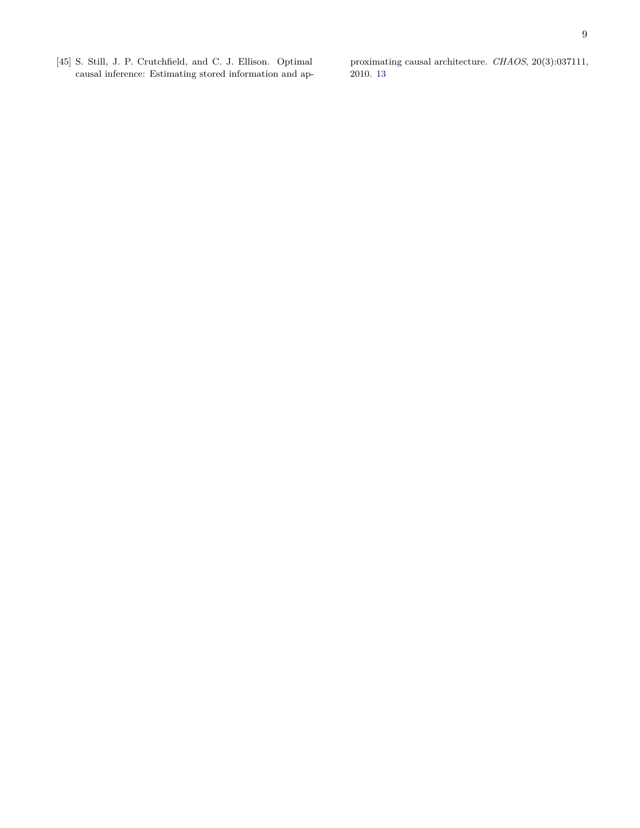<span id="page-8-0"></span>[45] S. Still, J. P. Crutchfield, and C. J. Ellison. Optimal causal inference: Estimating stored information and approximating causal architecture. *CHAOS*, 20(3):037111, 2010. [13](#page-12-0)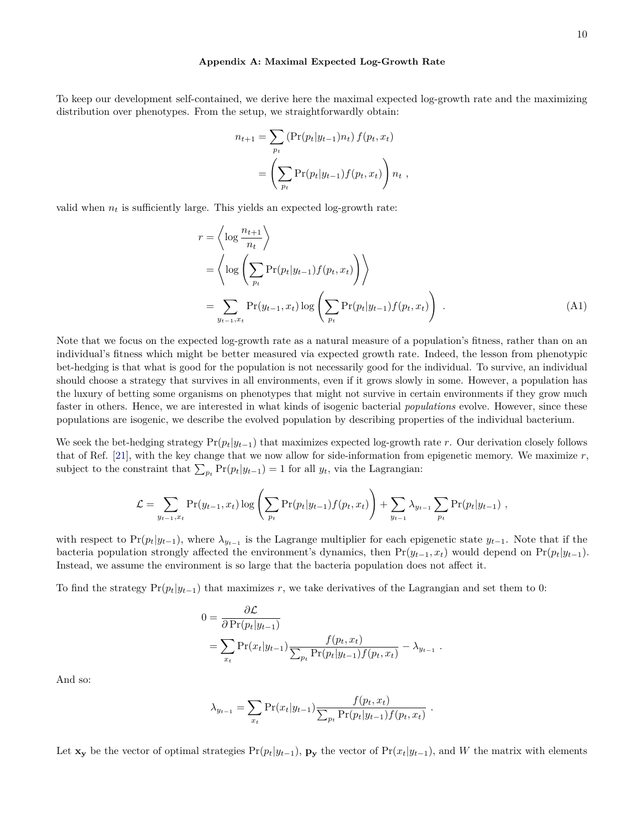#### <span id="page-9-0"></span>**Appendix A: Maximal Expected Log-Growth Rate**

<span id="page-9-1"></span>To keep our development self-contained, we derive here the maximal expected log-growth rate and the maximizing distribution over phenotypes. From the setup, we straightforwardly obtain:

<span id="page-9-2"></span>
$$
n_{t+1} = \sum_{p_t} (\Pr(p_t|y_{t-1})n_t) f(p_t, x_t)
$$
  
= 
$$
\left(\sum_{p_t} \Pr(p_t|y_{t-1}) f(p_t, x_t)\right) n_t,
$$

valid when  $n_t$  is sufficiently large. This yields an expected log-growth rate:

$$
r = \left\langle \log \frac{n_{t+1}}{n_t} \right\rangle
$$
  
= 
$$
\left\langle \log \left( \sum_{p_t} \Pr(p_t | y_{t-1}) f(p_t, x_t) \right) \right\rangle
$$
  
= 
$$
\sum_{y_{t-1}, x_t} \Pr(y_{t-1}, x_t) \log \left( \sum_{p_t} \Pr(p_t | y_{t-1}) f(p_t, x_t) \right).
$$
 (A1)

Note that we focus on the expected log-growth rate as a natural measure of a population's fitness, rather than on an individual's fitness which might be better measured via expected growth rate. Indeed, the lesson from phenotypic bet-hedging is that what is good for the population is not necessarily good for the individual. To survive, an individual should choose a strategy that survives in all environments, even if it grows slowly in some. However, a population has the luxury of betting some organisms on phenotypes that might not survive in certain environments if they grow much faster in others. Hence, we are interested in what kinds of isogenic bacterial *populations* evolve. However, since these populations are isogenic, we describe the evolved population by describing properties of the individual bacterium.

We seek the bet-hedging strategy  $Pr(p_t|y_{t-1})$  that maximizes expected log-growth rate *r*. Our derivation closely follows that of Ref. [\[21\]](#page-7-10), with the key change that we now allow for side-information from epigenetic memory. We maximize *r*, subject to the constraint that  $\sum_{p_t} \Pr(p_t|y_{t-1}) = 1$  for all  $y_t$ , via the Lagrangian:

$$
\mathcal{L} = \sum_{y_{t-1}, x_t} \Pr(y_{t-1}, x_t) \log \left( \sum_{p_t} \Pr(p_t | y_{t-1}) f(p_t, x_t) \right) + \sum_{y_{t-1}} \lambda_{y_{t-1}} \sum_{p_t} \Pr(p_t | y_{t-1}),
$$

with respect to  $Pr(p_t|y_{t-1})$ , where  $\lambda_{y_{t-1}}$  is the Lagrange multiplier for each epigenetic state  $y_{t-1}$ . Note that if the bacteria population strongly affected the environment's dynamics, then  $Pr(y_{t-1}, x_t)$  would depend on  $Pr(p_t|y_{t-1})$ . Instead, we assume the environment is so large that the bacteria population does not affect it.

To find the strategy  $Pr(p_t|y_{t-1})$  that maximizes *r*, we take derivatives of the Lagrangian and set them to 0:

$$
0 = \frac{\partial \mathcal{L}}{\partial \Pr(p_t|y_{t-1})}
$$
  
= 
$$
\sum_{x_t} \Pr(x_t|y_{t-1}) \frac{f(p_t, x_t)}{\sum_{p_t} \Pr(p_t|y_{t-1}) f(p_t, x_t)} - \lambda_{y_{t-1}}.
$$

And so:

$$
\lambda_{y_{t-1}} = \sum_{x_t} \Pr(x_t | y_{t-1}) \frac{f(p_t, x_t)}{\sum_{p_t} \Pr(p_t | y_{t-1}) f(p_t, x_t)}.
$$

Let  $\mathbf{x}_y$  be the vector of optimal strategies  $Pr(p_t|y_{t-1})$ ,  $\mathbf{p}_y$  the vector of  $Pr(x_t|y_{t-1})$ , and *W* the matrix with elements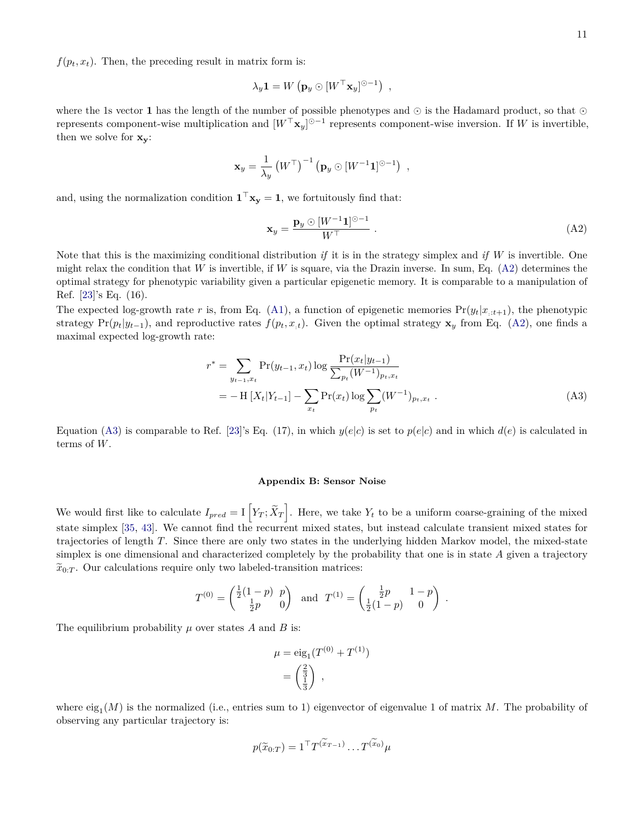<span id="page-10-3"></span> $f(p_t, x_t)$ . Then, the preceding result in matrix form is:

$$
\lambda_y \mathbf{1} = W\left(\mathbf{p}_y \odot [W^\top \mathbf{x}_y]^{\odot -1}\right) ,
$$

where the 1s vector 1 has the length of the number of possible phenotypes and  $\odot$  is the Hadamard product, so that  $\odot$ represents component-wise multiplication and  $[W^{\top} \mathbf{x}_y]^{\odot -1}$  represents component-wise inversion. If W is invertible, then we solve for **xy**:

$$
\mathbf{x}_{y} = \frac{1}{\lambda_{y}} \left( W^{\top} \right)^{-1} \left( \mathbf{p}_{y} \odot \left[ W^{-1} \mathbf{1} \right]^{\odot -1} \right) ,
$$

and, using the normalization condition  $\mathbf{1}^\top \mathbf{x}_y = 1$ , we fortuitously find that:

<span id="page-10-0"></span>
$$
\mathbf{x}_y = \frac{\mathbf{p}_y \odot [W^{-1}\mathbf{1}]^{\odot -1}}{W^{\top}} \tag{A2}
$$

Note that this is the maximizing conditional distribution *if* it is in the strategy simplex and *if W* is invertible. One might relax the condition that *W* is invertible, if *W* is square, via the Drazin inverse. In sum, Eq.  $(A2)$  determines the optimal strategy for phenotypic variability given a particular epigenetic memory. It is comparable to a manipulation of Ref. [\[23\]](#page-7-12)'s Eq. (16).

The expected log-growth rate r is, from Eq. [\(A1\)](#page-9-2), a function of epigenetic memories  $Pr(y_t|x_{t+1})$ , the phenotypic strategy  $Pr(p_t|y_{t-1})$ , and reproductive rates  $f(p_t, x_{t})$ . Given the optimal strategy  $\mathbf{x}_y$  from Eq. [\(A2\)](#page-10-0), one finds a maximal expected log-growth rate:

$$
r^* = \sum_{y_{t-1}, x_t} \Pr(y_{t-1}, x_t) \log \frac{\Pr(x_t|y_{t-1})}{\sum_{p_t} (W^{-1})_{p_t, x_t}} = -\text{H}\left[X_t|Y_{t-1}\right] - \sum_{x_t} \Pr(x_t) \log \sum_{p_t} (W^{-1})_{p_t, x_t} .
$$
(A3)

Equation [\(A3\)](#page-10-2) is comparable to Ref. [\[23\]](#page-7-12)'s Eq. (17), in which  $y(e|c)$  is set to  $p(e|c)$  and in which  $d(e)$  is calculated in terms of *W*.

### <span id="page-10-2"></span><span id="page-10-1"></span>**Appendix B: Sensor Noise**

We would first like to calculate  $I_{pred} = I\left[Y_T; \tilde{X}_T\right]$ . Here, we take  $Y_t$  to be a uniform coarse-graining of the mixed state simplex [\[35,](#page-7-24) [43\]](#page-7-31). We cannot find the recurrent mixed states, but instead calculate transient mixed states for trajectories of length *T*. Since there are only two states in the underlying hidden Markov model, the mixed-state simplex is one dimensional and characterized completely by the probability that one is in state *A* given a trajectory  $\widetilde{x}_{0:T}$ . Our calculations require only two labeled-transition matrices:

$$
T^{(0)} = \begin{pmatrix} \frac{1}{2}(1-p) & p \\ \frac{1}{2}p & 0 \end{pmatrix} \text{ and } T^{(1)} = \begin{pmatrix} \frac{1}{2}p & 1-p \\ \frac{1}{2}(1-p) & 0 \end{pmatrix}.
$$

The equilibrium probability *µ* over states *A* and *B* is:

$$
\mu = \text{eig}_{1}(T^{(0)} + T^{(1)})
$$

$$
= \begin{pmatrix} \frac{2}{3} \\ \frac{1}{3} \end{pmatrix},
$$

where  $\text{eig}_1(M)$  is the normalized (i.e., entries sum to 1) eigenvector of eigenvalue 1 of matrix M. The probability of observing any particular trajectory is:

$$
p(\widetilde{x}_{0:T}) = 1^{\top} T^{(\widetilde{x}_{T-1})} \dots T^{(\widetilde{x}_0)} \mu
$$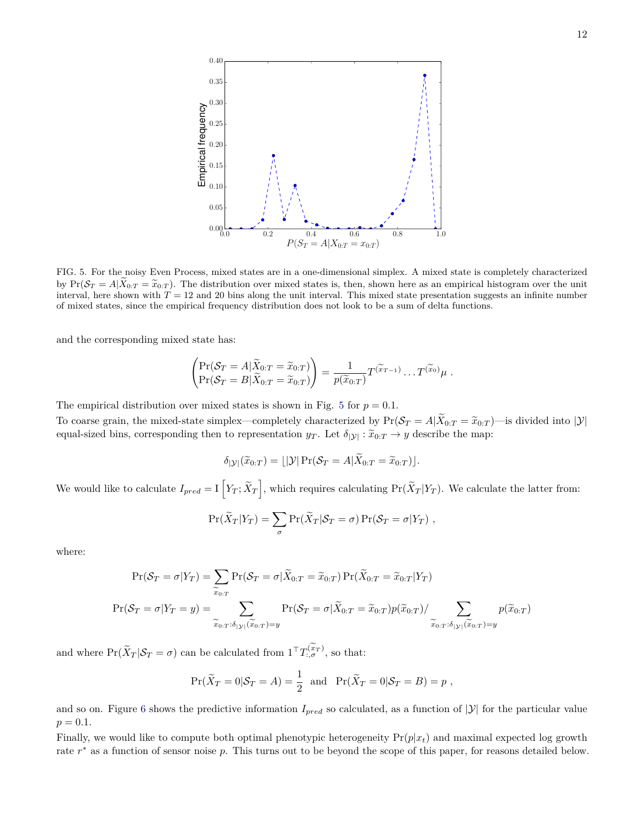

<span id="page-11-0"></span>FIG. 5. For the noisy Even Process, mixed states are in a one-dimensional simplex. A mixed state is completely characterized by  $Pr(S_T = A|\tilde{X}_{0:T} = \tilde{x}_{0:T})$ . The distribution over mixed states is, then, shown here as an empirical histogram over the unit interval, here shown with  $T = 12$  and 20 bins along the unit interval. This mixed state presentation suggests an infinite number of mixed states, since the empirical frequency distribution does not look to be a sum of delta functions.

and the corresponding mixed state has:

$$
\begin{pmatrix} \Pr(\mathcal{S}_T = A | \widetilde{X}_{0:T} = \widetilde{x}_{0:T}) \\ \Pr(\mathcal{S}_T = B | \widetilde{X}_{0:T} = \widetilde{x}_{0:T}) \end{pmatrix} = \frac{1}{p(\widetilde{x}_{0:T})} T^{(\widetilde{x}_{T-1})} \dots T^{(\widetilde{x}_0)} \mu.
$$

The empirical distribution over mixed states is shown in Fig. [5](#page-11-0) for  $p = 0.1$ .

To coarse grain, the mixed-state simplex—completely characterized by  $Pr(S_T = A | \tilde{X}_{0:T} = \tilde{x}_{0:T})$ —is divided into |Y| equal-sized bins, corresponding then to representation  $y_T$ . Let  $\delta_{|\mathcal{Y}|} : \tilde{x}_{0:T} \to y$  describe the map:

$$
\delta_{|\mathcal{Y}|}(\widetilde{x}_{0:T}) = \lfloor |\mathcal{Y}| \Pr(\mathcal{S}_T = A | \widetilde{X}_{0:T} = \widetilde{x}_{0:T}) \rfloor.
$$

We would like to calculate  $I_{pred} = I\left[Y_T; \tilde{X}_T\right]$ , which requires calculating  $Pr(\tilde{X}_T|Y_T)$ . We calculate the latter from:

$$
\Pr(\widetilde{X}_T|Y_T) = \sum_{\sigma} \Pr(\widetilde{X}_T|S_T = \sigma) \Pr(S_T = \sigma|Y_T) ,
$$

where:

$$
\Pr(\mathcal{S}_T = \sigma | Y_T) = \sum_{\widetilde{x}_{0:T}} \Pr(\mathcal{S}_T = \sigma | \widetilde{X}_{0:T} = \widetilde{x}_{0:T}) \Pr(\widetilde{X}_{0:T} = \widetilde{x}_{0:T} | Y_T)
$$

$$
\Pr(\mathcal{S}_T = \sigma | Y_T = y) = \sum_{\widetilde{x}_{0:T} : \delta_{|\mathcal{Y}|}(\widetilde{x}_{0:T}) = y} \Pr(\mathcal{S}_T = \sigma | \widetilde{X}_{0:T} = \widetilde{x}_{0:T}) p(\widetilde{x}_{0:T}) / \sum_{\widetilde{x}_{0:T} : \delta_{|\mathcal{Y}|}(\widetilde{x}_{0:T}) = y} p(\widetilde{x}_{0:T})
$$

and where  $Pr(\widetilde{X}_T | \mathcal{S}_T = \sigma)$  can be calculated from  $1^{\top} T^{(x_T)}_{:,\sigma}$ , so that:

$$
\Pr(\widetilde{X}_T = 0 | \mathcal{S}_T = A) = \frac{1}{2} \text{ and } \Pr(\widetilde{X}_T = 0 | \mathcal{S}_T = B) = p,
$$

and so on. Figure [6](#page-12-1) shows the predictive information  $I_{pred}$  so calculated, as a function of  $|\mathcal{Y}|$  for the particular value  $p = 0.1$ .

Finally, we would like to compute both optimal phenotypic heterogeneity  $Pr(p|x_t)$  and maximal expected log growth rate *r* <sup>∗</sup> as a function of sensor noise *p*. This turns out to be beyond the scope of this paper, for reasons detailed below.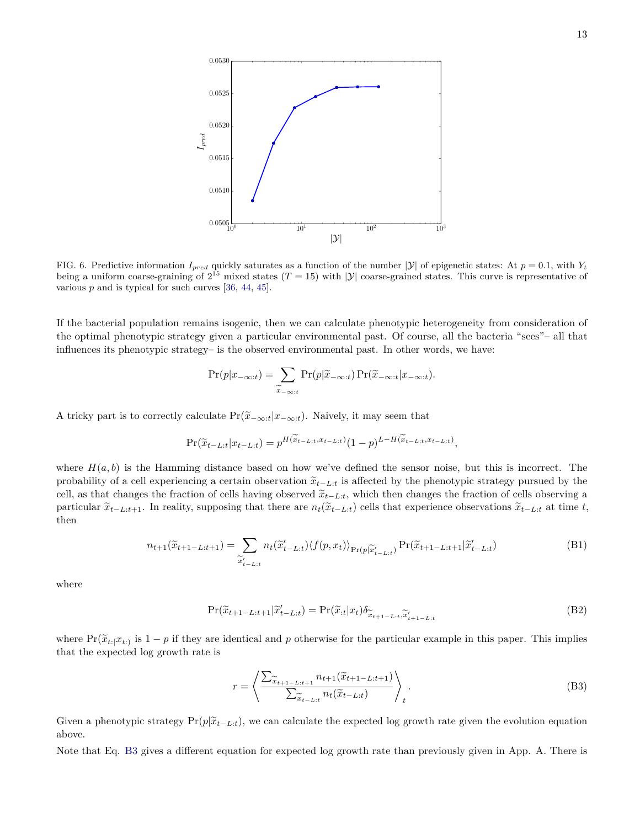<span id="page-12-0"></span>

<span id="page-12-1"></span>FIG. 6. Predictive information  $I_{pred}$  quickly saturates as a function of the number  $|\mathcal{Y}|$  of epigenetic states: At  $p = 0.1$ , with  $Y_t$ being a uniform coarse-graining of  $2^{15}$  mixed states  $(T = 15)$  with  $|\mathcal{Y}|$  coarse-grained states. This curve is representative of various *p* and is typical for such curves [\[36,](#page-7-25) [44,](#page-7-32) [45\]](#page-8-0).

If the bacterial population remains isogenic, then we can calculate phenotypic heterogeneity from consideration of the optimal phenotypic strategy given a particular environmental past. Of course, all the bacteria "sees"– all that influences its phenotypic strategy– is the observed environmental past. In other words, we have:

$$
\Pr(p|x_{-\infty:t}) = \sum_{\widetilde{x}_{-\infty:t}} \Pr(p|\widetilde{x}_{-\infty:t}) \Pr(\widetilde{x}_{-\infty:t}|x_{-\infty:t}).
$$

A tricky part is to correctly calculate  $Pr(\tilde{x}_{-\infty:t}|x_{-\infty:t})$ . Naively, it may seem that

$$
\Pr(\widetilde{x}_{t-L:t} | x_{t-L:t}) = p^{H(\widetilde{x}_{t-L:t}, x_{t-L:t})} (1-p)^{L-H(\widetilde{x}_{t-L:t}, x_{t-L:t})},
$$

where  $H(a, b)$  is the Hamming distance based on how we've defined the sensor noise, but this is incorrect. The probability of a cell experiencing a certain observation  $\tilde{x}_{t-L:t}$  is affected by the phenotypic strategy pursued by the cell, as that changes the fraction of cells having observed  $\tilde{x}_{t-L:t}$ , which then changes the fraction of cells observing a particular  $\tilde{x}_{t-L:t+1}$ . In reality, supposing that there are  $n_t(\tilde{x}_{t-L:t})$  cells that experience observations  $\tilde{x}_{t-L:t}$  at time t, then

$$
n_{t+1}(\widetilde{x}_{t+1-L:t+1}) = \sum_{\widetilde{x}'_{t-L:t}} n_t(\widetilde{x}'_{t-L:t}) \langle f(p, x_t) \rangle_{\Pr(p|\widetilde{x}'_{t-L:t})} \Pr(\widetilde{x}_{t+1-L:t+1}|\widetilde{x}'_{t-L:t})
$$
(B1)

where

$$
\Pr(\widetilde{x}_{t+1-L:t+1}|\widetilde{x}'_{t-L:t}) = \Pr(\widetilde{x}_{t}|x_{t})\delta_{\widetilde{x}_{t+1-L:t},\widetilde{x}'_{t+1-L:t}} \tag{B2}
$$

where  $Pr(\tilde{x}_{t_i}|x_{t_i})$  is  $1-p$  if they are identical and p otherwise for the particular example in this paper. This implies that the expected log growth rate is

<span id="page-12-2"></span>
$$
r = \left\langle \frac{\sum_{\widetilde{x}_{t+1-L:t+1}} n_{t+1}(\widetilde{x}_{t+1-L:t+1})}{\sum_{\widetilde{x}_{t-L:t}} n_t(\widetilde{x}_{t-L:t})} \right\rangle_t.
$$
\n(B3)

Given a phenotypic strategy  $Pr(p|\tilde{x}_{t-L:t})$ , we can calculate the expected log growth rate given the evolution equation above.

Note that Eq. [B3](#page-12-2) gives a different equation for expected log growth rate than previously given in App. A. There is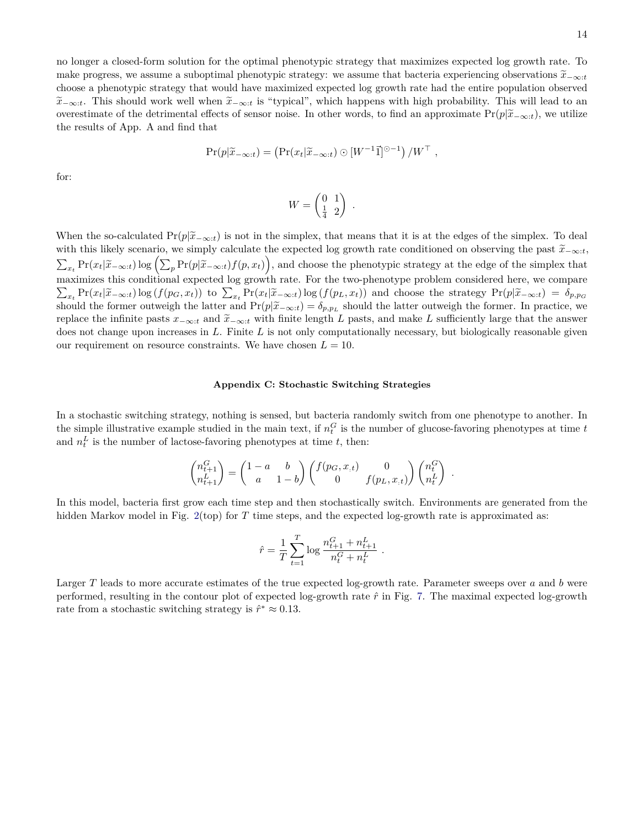no longer a closed-form solution for the optimal phenotypic strategy that maximizes expected log growth rate. To make progress, we assume a suboptimal phenotypic strategy: we assume that bacteria experiencing observations  $\tilde{x}_{-\infty:t}$ choose a phenotypic strategy that would have maximized expected log growth rate had the entire population observed  $\tilde{x}_{-\infty:t}$ . This should work well when  $\tilde{x}_{-\infty:t}$  is "typical", which happens with high probability. This will lead to an overestimate of the detrimental effects of sensor noise. In other words, to find an approximate  $Pr(p|\tilde{x}_{-\infty:t})$ , we utilize the results of App. A and find that

$$
\Pr(p|\widetilde{x}_{-\infty:t}) = (\Pr(x_t|\widetilde{x}_{-\infty:t}) \odot [W^{-1}\vec{1}]^{\odot -1}) / W^{\top} ,
$$

for:

$$
W = \begin{pmatrix} 0 & 1 \\ \frac{1}{4} & 2 \end{pmatrix}
$$

*.*

When the so-calculated Pr( $p|\tilde{x}_{-\infty:t}$ ) is not in the simplex, that means that it is at the edges of the simplex. To deal with this likely scenario, we simply calculate the expected log growth rate conditioned on observi with this likely scenario, we simply calculate the expected log growth rate conditioned on observing the past  $\tilde{x}_{-\infty:t}$ ,<br>  $\sum_{x_t} \Pr(x_t | \tilde{x}_{-\infty:t}) \log \left( \sum_p \Pr(p | \tilde{x}_{-\infty:t}) f(p, x_t) \right)$ , and choose the phenotypic strategy at th maximizes this conditional expected log growth rate. For the two-phenotype problem considered here, we compare  $\sum_{x_t} \Pr(x_t|\widetilde{x}_{-\infty:t}) \log(f(p_G, x_t))$  to  $\sum_{x_t} \Pr(x_t|\widetilde{x}_{-\infty:t}) \log(f(p_L, x_t))$  and choose the strategy  $\Pr(p|\widetilde{x}_{-\infty:t}) = \delta_{p,p_G}$ should the former outweigh the latter and  $Pr(p|\tilde{x}_{-\infty:t}) = \delta_{p,p_L}$  should the latter outweigh the former. In practice, we<br>replace the infinite parts  $x_{\text{new}}$  and  $\tilde{x}_{\text{new}}$  with finite langth L parts and malta L sufficie replace the infinite pasts  $x_{-\infty:t}$  and  $\tilde{x}_{-\infty:t}$  with finite length *L* pasts, and make *L* sufficiently large that the answer does not change upon increases in *L*. Finite *L* is not only computationally necessary, but biologically reasonable given our requirement on resource constraints. We have chosen  $L = 10$ .

## <span id="page-13-0"></span>**Appendix C: Stochastic Switching Strategies**

In a stochastic switching strategy, nothing is sensed, but bacteria randomly switch from one phenotype to another. In the simple illustrative example studied in the main text, if  $n_t^G$  is the number of glucose-favoring phenotypes at time  $t$ and  $n_t^L$  is the number of lactose-favoring phenotypes at time  $t$ , then:

$$
\begin{pmatrix} n^G_{t+1} \\ n^L_{t+1} \end{pmatrix} = \begin{pmatrix} 1-a & b \\ a & 1-b \end{pmatrix} \begin{pmatrix} f(p_G, x_{,t}) & 0 \\ 0 & f(p_L, x_{,t}) \end{pmatrix} \begin{pmatrix} n^G_t \\ n^L_t \end{pmatrix} \ .
$$

In this model, bacteria first grow each time step and then stochastically switch. Environments are generated from the hidden Markov model in Fig. [2\(](#page-4-0)top) for *T* time steps, and the expected log-growth rate is approximated as:

$$
\hat{r} = \frac{1}{T}\sum_{t=1}^T \log \frac{n_{t+1}^G + n_{t+1}^L}{n_t^G + n_t^L}
$$

*.*

Larger *T* leads to more accurate estimates of the true expected log-growth rate. Parameter sweeps over *a* and *b* were performed, resulting in the contour plot of expected log-growth rate *r*ˆ in Fig. [7.](#page-14-0) The maximal expected log-growth rate from a stochastic switching strategy is  $\hat{r}^* \approx 0.13$ .